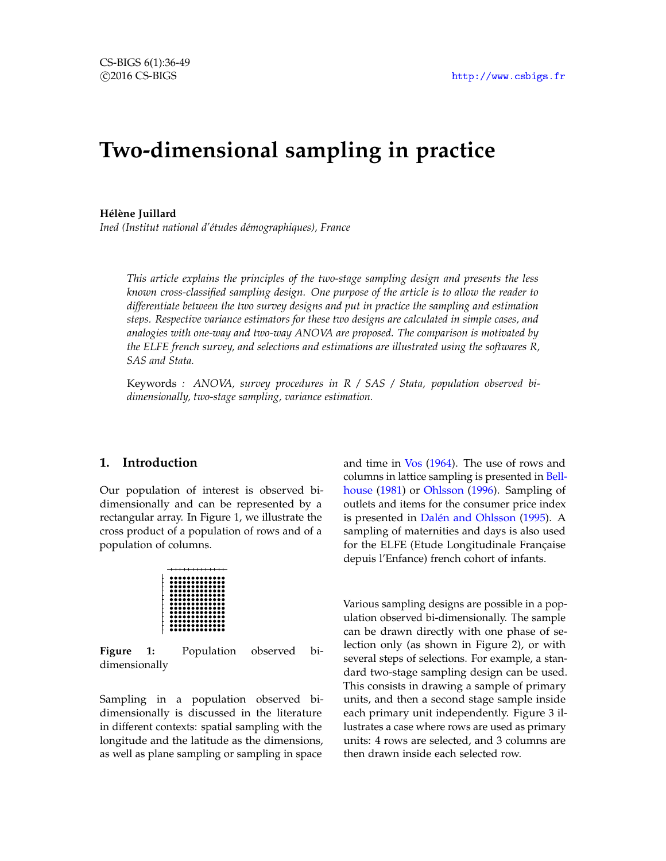# **Two-dimensional sampling in practice**

#### **Hélène Juillard**

*Ined (Institut national d'études démographiques), France*

*This article explains the principles of the two-stage sampling design and presents the less known cross-classified sampling design. One purpose of the article is to allow the reader to differentiate between the two survey designs and put in practice the sampling and estimation steps. Respective variance estimators for these two designs are calculated in simple cases, and analogies with one-way and two-way ANOVA are proposed. The comparison is motivated by the ELFE french survey, and selections and estimations are illustrated using the softwares R, SAS and Stata.*

Keywords *: ANOVA, survey procedures in R / SAS / Stata, population observed bidimensionally, two-stage sampling, variance estimation.*

# **1. Introduction**

Our population of interest is observed bidimensionally and can be represented by a rectangular array. In Figure [1,](#page-0-0) we illustrate the cross product of a population of rows and of a population of columns.

<span id="page-0-0"></span>

**Figure 1:** Population observed bidimensionally

Sampling in a population observed bidimensionally is discussed in the literature in different contexts: spatial sampling with the longitude and the latitude as the dimensions, as well as plane sampling or sampling in space and time in [Vos](#page-11-0) [\(1964\)](#page-11-0). The use of rows and columns in lattice sampling is presented in [Bell](#page-11-1)[house](#page-11-1) [\(1981\)](#page-11-1) or [Ohlsson](#page-11-2) [\(1996\)](#page-11-2). Sampling of outlets and items for the consumer price index is presented in [Dalén and Ohlsson](#page-11-3) [\(1995\)](#page-11-3). A sampling of maternities and days is also used for the ELFE (Etude Longitudinale Française depuis l'Enfance) french cohort of infants.

Various sampling designs are possible in a population observed bi-dimensionally. The sample can be drawn directly with one phase of selection only (as shown in Figure [2\)](#page-1-0), or with several steps of selections. For example, a standard two-stage sampling design can be used. This consists in drawing a sample of primary units, and then a second stage sample inside each primary unit independently. Figure [3](#page-1-1) illustrates a case where rows are used as primary units: 4 rows are selected, and 3 columns are then drawn inside each selected row.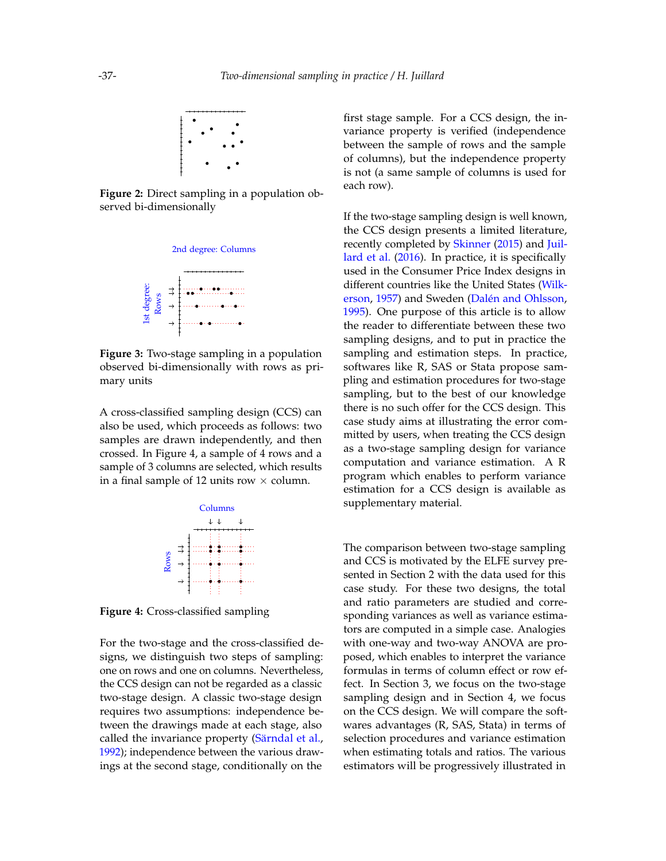<span id="page-1-0"></span>

**Figure 2:** Direct sampling in a population observed bi-dimensionally

<span id="page-1-1"></span>

**Figure 3:** Two-stage sampling in a population observed bi-dimensionally with rows as primary units

A cross-classified sampling design (CCS) can also be used, which proceeds as follows: two samples are drawn independently, and then crossed. In Figure [4,](#page-1-2) a sample of 4 rows and a sample of 3 columns are selected, which results in a final sample of 12 units row  $\times$  column.

<span id="page-1-2"></span>

**Figure 4:** Cross-classified sampling

For the two-stage and the cross-classified designs, we distinguish two steps of sampling: one on rows and one on columns. Nevertheless, the CCS design can not be regarded as a classic two-stage design. A classic two-stage design requires two assumptions: independence between the drawings made at each stage, also called the invariance property [\(Särndal et al.,](#page-11-4) [1992\)](#page-11-4); independence between the various drawings at the second stage, conditionally on the

first stage sample. For a CCS design, the invariance property is verified (independence between the sample of rows and the sample of columns), but the independence property is not (a same sample of columns is used for each row).

If the two-stage sampling design is well known, the CCS design presents a limited literature, recently completed by [Skinner](#page-11-5) [\(2015\)](#page-11-5) and [Juil](#page-11-6)[lard et al.](#page-11-6) [\(2016\)](#page-11-6). In practice, it is specifically used in the Consumer Price Index designs in different countries like the United States [\(Wilk](#page-11-7)[erson,](#page-11-7) [1957\)](#page-11-7) and Sweden [\(Dalén and Ohlsson,](#page-11-3) [1995\)](#page-11-3). One purpose of this article is to allow the reader to differentiate between these two sampling designs, and to put in practice the sampling and estimation steps. In practice, softwares like R, SAS or Stata propose sampling and estimation procedures for two-stage sampling, but to the best of our knowledge there is no such offer for the CCS design. This case study aims at illustrating the error committed by users, when treating the CCS design as a two-stage sampling design for variance computation and variance estimation. A R program which enables to perform variance estimation for a CCS design is available as supplementary material.

The comparison between two-stage sampling and CCS is motivated by the ELFE survey presented in Section [2](#page-2-0) with the data used for this case study. For these two designs, the total and ratio parameters are studied and corresponding variances as well as variance estimators are computed in a simple case. Analogies with one-way and two-way ANOVA are proposed, which enables to interpret the variance formulas in terms of column effect or row effect. In Section [3,](#page-2-1) we focus on the two-stage sampling design and in Section [4,](#page-7-0) we focus on the CCS design. We will compare the softwares advantages (R, SAS, Stata) in terms of selection procedures and variance estimation when estimating totals and ratios. The various estimators will be progressively illustrated in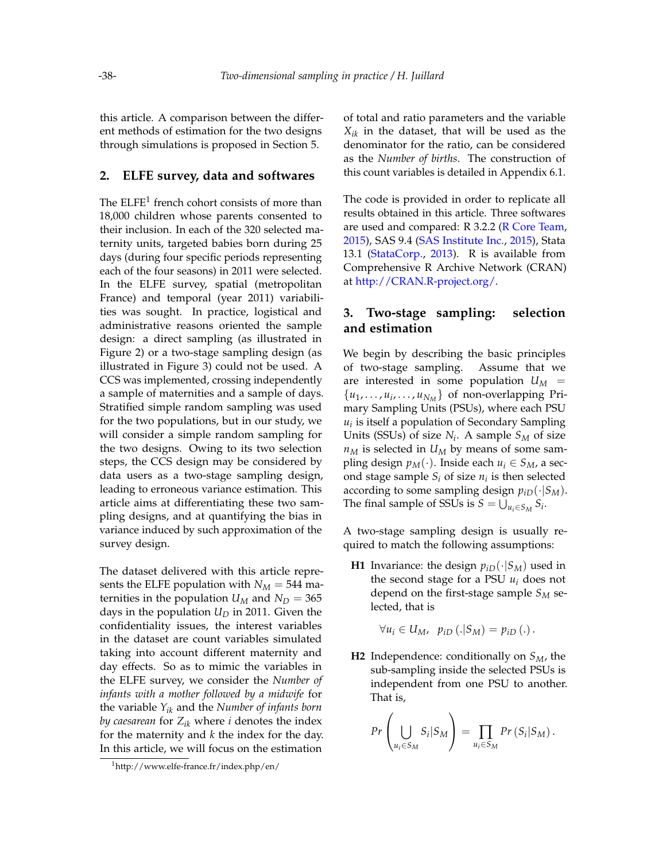this article. A comparison between the different methods of estimation for the two designs through simulations is proposed in Section [5.](#page-9-0)

# <span id="page-2-0"></span>**2. ELFE survey, data and softwares**

The  $ELFE<sup>1</sup>$  $ELFE<sup>1</sup>$  $ELFE<sup>1</sup>$  french cohort consists of more than 18,000 children whose parents consented to their inclusion. In each of the 320 selected maternity units, targeted babies born during 25 days (during four specific periods representing each of the four seasons) in 2011 were selected. In the ELFE survey, spatial (metropolitan France) and temporal (year 2011) variabilities was sought. In practice, logistical and administrative reasons oriented the sample design: a direct sampling (as illustrated in Figure [2\)](#page-1-0) or a two-stage sampling design (as illustrated in Figure [3\)](#page-1-1) could not be used. A CCS was implemented, crossing independently a sample of maternities and a sample of days. Stratified simple random sampling was used for the two populations, but in our study, we will consider a simple random sampling for the two designs. Owing to its two selection steps, the CCS design may be considered by data users as a two-stage sampling design, leading to erroneous variance estimation. This article aims at differentiating these two sampling designs, and at quantifying the bias in variance induced by such approximation of the survey design.

The dataset delivered with this article represents the ELFE population with  $N_M = 544$  maternities in the population  $U_M$  and  $N_D = 365$ days in the population  $U_D$  in 2011. Given the confidentiality issues, the interest variables in the dataset are count variables simulated taking into account different maternity and day effects. So as to mimic the variables in the ELFE survey, we consider the *Number of infants with a mother followed by a midwife* for the variable *Yik* and the *Number of infants born by caesarean* for *Zik* where *i* denotes the index for the maternity and *k* the index for the day. In this article, we will focus on the estimation

of total and ratio parameters and the variable *Xik* in the dataset, that will be used as the denominator for the ratio, can be considered as the *Number of births*. The construction of this count variables is detailed in Appendix [6.1.](#page-12-0)

The code is provided in order to replicate all results obtained in this article. Three softwares are used and compared: R 3.2.2 [\(R Core Team,](#page-11-8) [2015\)](#page-11-8), SAS 9.4 [\(SAS Institute Inc.,](#page-11-9) [2015\)](#page-11-9), Stata 13.1 [\(StataCorp.,](#page-11-10) [2013\)](#page-11-10). R is available from Comprehensive R Archive Network (CRAN) at [http://CRAN.R-project.org/.](http://CRAN.R-project.org/)

# <span id="page-2-1"></span>**3. Two-stage sampling: selection and estimation**

We begin by describing the basic principles of two-stage sampling. Assume that we are interested in some population  $U_M$  =  $\{u_1, \ldots, u_i, \ldots, u_{N_M}\}\$  of non-overlapping Primary Sampling Units (PSUs), where each PSU *ui* is itself a population of Secondary Sampling Units (SSUs) of size *N<sup>i</sup>* . A sample *S<sup>M</sup>* of size  $n_M$  is selected in  $U_M$  by means of some sampling design  $p_M(\cdot)$ . Inside each  $u_i \in S_M$ , a second stage sample  $S_i$  of size  $n_i$  is then selected according to some sampling design  $p_{iD}(\cdot|S_M)$ . The final sample of SSUs is  $S = \bigcup_{u_i \in S_M} S_i$ .

A two-stage sampling design is usually required to match the following assumptions:

**H1** Invariance: the design  $p_{iD}(\cdot|S_M)$  used in the second stage for a PSU *u<sup>i</sup>* does not depend on the first-stage sample *S<sup>M</sup>* selected, that is

$$
\forall u_i \in U_M, \ \ p_{iD}(.|S_M) = p_{iD}(.).
$$

**H2** Independence: conditionally on *SM*, the sub-sampling inside the selected PSUs is independent from one PSU to another. That is,

$$
Pr\left(\bigcup_{u_i \in S_M} S_i | S_M\right) = \prod_{u_i \in S_M} Pr\left(S_i | S_M\right).
$$

<span id="page-2-2"></span><sup>1</sup>http://www.elfe-france.fr/index.php/en/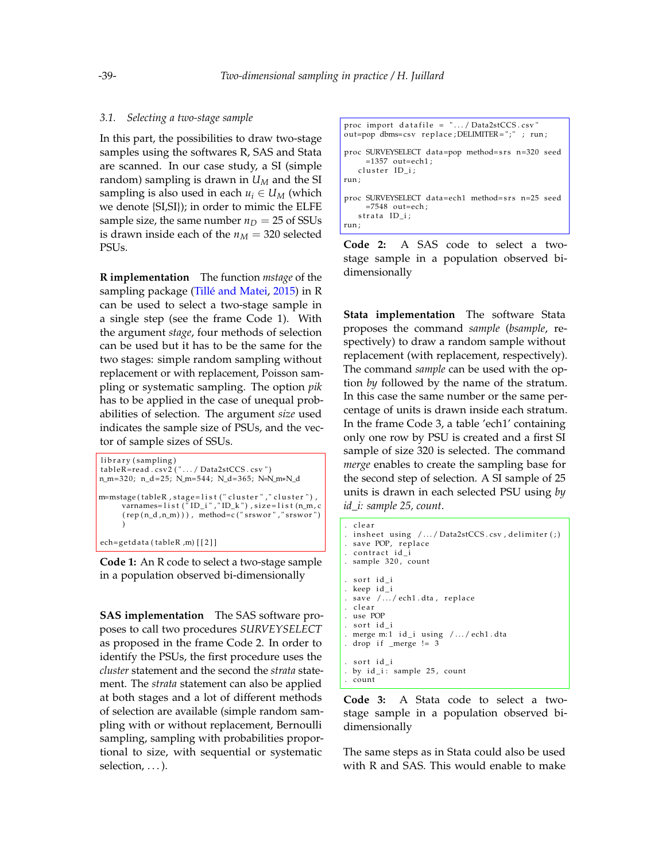#### *3.1. Selecting a two-stage sample*

In this part, the possibilities to draw two-stage samples using the softwares R, SAS and Stata are scanned. In our case study, a SI (simple random) sampling is drawn in *U<sup>M</sup>* and the SI sampling is also used in each  $u_i \in U_M$  (which we denote {SI,SI}); in order to mimic the ELFE sample size, the same number  $n_D = 25$  of SSUs is drawn inside each of the  $n_M = 320$  selected PSUs.

**R implementation** The function *mstage* of the sampling package [\(Tillé and Matei,](#page-11-11) [2015\)](#page-11-11) in R can be used to select a two-stage sample in a single step (see the frame Code [1\)](#page-3-0). With the argument *stage*, four methods of selection can be used but it has to be the same for the two stages: simple random sampling without replacement or with replacement, Poisson sampling or systematic sampling. The option *pik* has to be applied in the case of unequal probabilities of selection. The argument *size* used indicates the sample size of PSUs, and the vector of sample sizes of SSUs.

```
library (sampling)
tableR=read . csv2 ("\ldots / Data2stCCS . csv")
n_m= 3 2 0; n_d = 2 5; N_m= 5 4 4; N_d= 3 6 5; N=N_m∗N_d
m=mstage(tableR , stage=list (" cluster " ," cluster ") ,
      varnames= l i s t ( " ID _i " , " ID_k " ) , si z e = l i s t (n_m, c
      (rep(n_d, n_m))), method=c ("srswor", "srswor")
      )
ech=getdata (tableR,m) [[2]]
```
**Code 1:** An R code to select a two-stage sample in a population observed bi-dimensionally

**SAS implementation** The SAS software proposes to call two procedures *SURVEYSELECT* as proposed in the frame Code [2.](#page-3-1) In order to identify the PSUs, the first procedure uses the *cluster* statement and the second the *strata* statement. The *strata* statement can also be applied at both stages and a lot of different methods of selection are available (simple random sampling with or without replacement, Bernoulli sampling, sampling with probabilities proportional to size, with sequential or systematic selection, ...).

```
proc import datafile = ". . . / Data2stCCS.csv"out=pop dbms=csv replace; DELIMITER=";" ; run;
proc SURVEYSELECT data=pop method= srs n=320 seed
    =1357 out=ech1:
   cluster ID_i;
run ;
proc SURVEYSELECT data=ech1 method= srs n=25 seed
    =7548 out=ech ;
   strata ID_i;
run ;
```
**Code 2:** A SAS code to select a twostage sample in a population observed bidimensionally

**Stata implementation** The software Stata proposes the command *sample* (*bsample*, respectively) to draw a random sample without replacement (with replacement, respectively). The command *sample* can be used with the option *by* followed by the name of the stratum. In this case the same number or the same percentage of units is drawn inside each stratum. In the frame Code [3,](#page-3-2) a table 'ech1' containing only one row by PSU is created and a first SI sample of size 320 is selected. The command *merge* enables to create the sampling base for the second step of selection. A SI sample of 25 units is drawn in each selected PSU using *by id\_i: sample 25, count*.

```
. clear
. in sheet using / \dots / Data2stCCS.csv, delimiter ( ; ). save POP, replace
. contract id_i
. sample 320, count
. sort id_i
. keep id i
. save /.../ech1.dta, replace
. clear
. use POP
. sort id i
. merge m:1 id_i using /.../ech1.dta
. drop if _merge != 3
. sort id_i
. by id_i: sample 25, count
. count
```
**Code 3:** A Stata code to select a twostage sample in a population observed bidimensionally

The same steps as in Stata could also be used with R and SAS. This would enable to make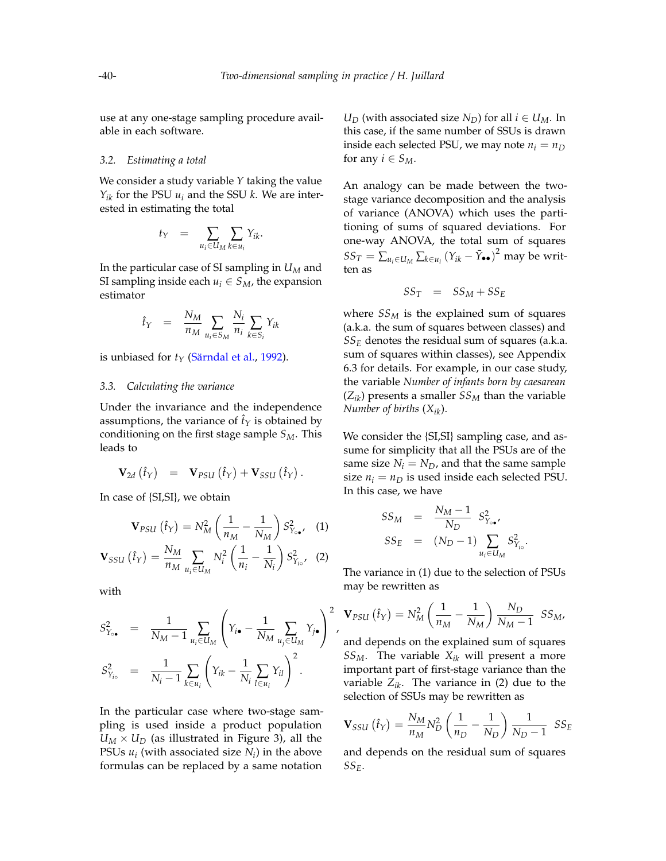,

use at any one-stage sampling procedure available in each software.

#### *3.2. Estimating a total*

We consider a study variable *Y* taking the value  $Y_{ik}$  for the PSU  $u_i$  and the SSU *k*. We are interested in estimating the total

$$
t_Y = \sum_{u_i \in U_M} \sum_{k \in u_i} Y_{ik}.
$$

In the particular case of SI sampling in *U<sup>M</sup>* and SI sampling inside each  $u_i \in S_M$ , the expansion estimator

$$
\hat{t}_Y = \frac{N_M}{n_M} \sum_{u_i \in S_M} \frac{N_i}{n_i} \sum_{k \in S_i} Y_{ik}
$$

is unbiased for  $t<sub>Y</sub>$  [\(Särndal et al.,](#page-11-4) [1992\)](#page-11-4).

#### *3.3. Calculating the variance*

Under the invariance and the independence assumptions, the variance of  $\hat{t}_Y$  is obtained by conditioning on the first stage sample *SM*. This leads to

<span id="page-4-0"></span>
$$
\mathbf{V}_{2d}(\hat{t}_Y) = \mathbf{V}_{PSU}(\hat{t}_Y) + \mathbf{V}_{SSU}(\hat{t}_Y).
$$

In case of {SI,SI}, we obtain

$$
\mathbf{V}_{PSU}(\hat{t}_Y) = N_M^2 \left(\frac{1}{n_M} - \frac{1}{N_M}\right) S_{Y_{\text{o}\bullet}}^2,\quad(1)
$$

$$
\mathbf{V}_{SSU}(\hat{t}_{Y}) = \frac{N_{M}}{n_{M}} \sum_{u_{i} \in U_{M}} N_{i}^{2} \left(\frac{1}{n_{i}} - \frac{1}{N_{i}}\right) S_{Y_{io}}^{2}, \quad (2)
$$

with

$$
S_{Y_{i\bullet}}^2 = \frac{1}{N_M - 1} \sum_{u_i \in U_M} \left( Y_{i\bullet} - \frac{1}{N_M} \sum_{u_j \in U_M} Y_{j\bullet} \right)^2
$$
  

$$
S_{Y_{i\circ}}^2 = \frac{1}{N_i - 1} \sum_{k \in u_i} \left( Y_{ik} - \frac{1}{N_i} \sum_{l \in u_i} Y_{il} \right)^2.
$$

In the particular case where two-stage sampling is used inside a product population  $U_M \times U_D$  (as illustrated in Figure [3\)](#page-1-1), all the PSUs  $u_i$  (with associated size  $N_i$ ) in the above formulas can be replaced by a same notation

*U*<sup>*D*</sup> (with associated size *N*<sup>*D*</sup> for all *i*  $\in$  *U*<sup>*M*</sup>. In this case, if the same number of SSUs is drawn inside each selected PSU, we may note  $n_i = n_D$ for any  $i \in S_M$ .

An analogy can be made between the twostage variance decomposition and the analysis of variance (ANOVA) which uses the partitioning of sums of squared deviations. For one-way ANOVA, the total sum of squares  $SS_T = \sum_{u_i \in U_M} \sum_{k \in u_i} (Y_{ik} - \bar{Y}_{\bullet \bullet})^2$  may be written as

$$
SS_T = SS_M + SS_E
$$

where *SS<sup>M</sup>* is the explained sum of squares (a.k.a. the sum of squares between classes) and *SS<sup>E</sup>* denotes the residual sum of squares (a.k.a. sum of squares within classes), see Appendix [6.3](#page-12-1) for details. For example, in our case study, the variable *Number of infants born by caesarean*  $(Z_{ik})$  presents a smaller  $SS_M$  than the variable *Number of births* (*Xik*).

We consider the {SI,SI} sampling case, and assume for simplicity that all the PSUs are of the same size  $N_i = N_D$ , and that the same sample size  $n_i = n_D$  is used inside each selected PSU. In this case, we have

$$
SS_M = \frac{N_M - 1}{N_D} S_{Y_{\circ \bullet'}}^2
$$
  

$$
SS_E = (N_D - 1) \sum_{u_i \in U_M} S_{Y_{io}}^2
$$

.

The variance in [\(1\)](#page-4-0) due to the selection of PSUs may be rewritten as

$$
\mathbf{V}_{PSU}(\hat{t}_Y) = N_M^2 \left(\frac{1}{n_M} - \frac{1}{N_M}\right) \frac{N_D}{N_M - 1} SS_M,
$$

and depends on the explained sum of squares *SSM*. The variable *Xik* will present a more important part of first-stage variance than the variable  $Z_{ik}$ . The variance in [\(2\)](#page-4-0) due to the selection of SSUs may be rewritten as

$$
\mathbf{V}_{SSU} (\hat{t}_Y) = \frac{N_M}{n_M} N_D^2 \left( \frac{1}{n_D} - \frac{1}{N_D} \right) \frac{1}{N_D - 1} \; SS_E
$$

and depends on the residual sum of squares *SSE*.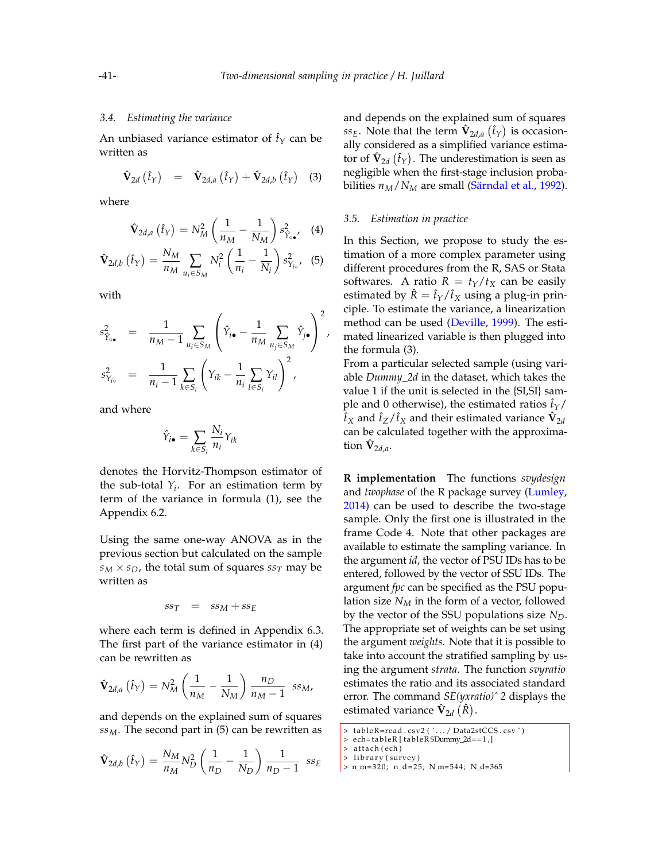#### *3.4. Estimating the variance*

An unbiased variance estimator of  $\hat{t}_Y$  can be written as

<span id="page-5-1"></span>
$$
\hat{\mathbf{V}}_{2d} (\hat{t}_Y) = \hat{\mathbf{V}}_{2d,a} (\hat{t}_Y) + \hat{\mathbf{V}}_{2d,b} (\hat{t}_Y) \quad (3)
$$

where

<span id="page-5-0"></span>
$$
\hat{\mathbf{V}}_{2d,a}(\hat{t}_Y) = N_M^2 \left(\frac{1}{n_M} - \frac{1}{N_M}\right) s_{\hat{Y}_{\circ \bullet'}}^2 \quad (4)
$$

$$
\hat{\mathbf{V}}_{2d,b}(\hat{t}_Y) = \frac{N_M}{n_M} \sum_{u_i \in S_M} N_i^2 \left(\frac{1}{n_i} - \frac{1}{N_i}\right) s_{Y_{i\circ}}^2, (5)
$$

with

$$
s_{\hat{Y}_{0\bullet}}^2 = \frac{1}{n_M - 1} \sum_{u_i \in S_M} \left( \hat{Y}_{i\bullet} - \frac{1}{n_M} \sum_{u_j \in S_M} \hat{Y}_{j\bullet} \right)^2,
$$
  

$$
s_{Y_{i\circ}}^2 = \frac{1}{n_i - 1} \sum_{k \in S_i} \left( Y_{ik} - \frac{1}{n_i} \sum_{l \in S_i} Y_{il} \right)^2,
$$

and where

$$
\hat{Y}_{i\bullet} = \sum_{k \in S_i} \frac{N_i}{n_i} Y_{ik}
$$

denotes the Horvitz-Thompson estimator of the sub-total  $Y_i$ . For an estimation term by term of the variance in formula [\(1\)](#page-4-0), see the Appendix [6.2.](#page-12-2)

Using the same one-way ANOVA as in the previous section but calculated on the sample  $s_M \times s_D$ , the total sum of squares  $s_{\tau}$  may be written as

$$
ss_T = ss_M + ss_E
$$

where each term is defined in Appendix [6.3.](#page-12-1) The first part of the variance estimator in [\(4\)](#page-5-0) can be rewritten as

$$
\hat{\mathbf{V}}_{2d,a}(\hat{t}_Y) = N_M^2 \left(\frac{1}{n_M} - \frac{1}{N_M}\right) \frac{n_D}{n_M - 1} \text{ s.s}_M,
$$

and depends on the explained sum of squares *ssM*. The second part in [\(5\)](#page-5-0) can be rewritten as

$$
\hat{\mathbf{V}}_{2d,b} (\hat{t}_Y) = \frac{N_M}{n_M} N_D^2 \left( \frac{1}{n_D} - \frac{1}{N_D} \right) \frac{1}{n_D - 1} \; s s_E
$$

and depends on the explained sum of squares  $ss_E$ . Note that the term  $\hat{\mathbf{V}}_{2d,a}\left(\hat{t}_Y\right)$  is occasionally considered as a simplified variance estimator of  $\hat{\mathbf{V}}_{2d}\left(\hat{t}_{Y}\right)$ . The underestimation is seen as negligible when the first-stage inclusion probabilities *nM*/*N<sup>M</sup>* are small [\(Särndal et al.,](#page-11-4) [1992\)](#page-11-4).

#### *3.5. Estimation in practice*

In this Section, we propose to study the estimation of a more complex parameter using different procedures from the R, SAS or Stata softwares. A ratio  $R = t_Y/t_X$  can be easily estimated by  $\hat{R} = \hat{t}_Y/\hat{t}_X$  using a plug-in principle. To estimate the variance, a linearization method can be used [\(Deville,](#page-11-12) [1999\)](#page-11-12). The estimated linearized variable is then plugged into the formula [\(3\)](#page-5-1).

From a particular selected sample (using variable *Dummy\_2d* in the dataset, which takes the value 1 if the unit is selected in the {SI,SI} sample and 0 otherwise), the estimated ratios  $\hat{t}_Y$ /  $\hat{t}_X$  and  $\hat{t}_Z/\hat{t}_X$  and their estimated variance  $\hat{\mathbf{V}}_{2d}$ can be calculated together with the approximation **V**ˆ 2*d*,*a* .

**R implementation** The functions *svydesign* and *twophase* of the R package survey [\(Lumley,](#page-11-13) [2014\)](#page-11-13) can be used to describe the two-stage sample. Only the first one is illustrated in the frame Code [4.](#page-5-2) Note that other packages are available to estimate the sampling variance. In the argument *id*, the vector of PSU IDs has to be entered, followed by the vector of SSU IDs. The argument *fpc* can be specified as the PSU population size *N<sup>M</sup>* in the form of a vector, followed by the vector of the SSU populations size *ND*. The appropriate set of weights can be set using the argument *weights*. Note that it is possible to take into account the stratified sampling by using the argument *strata*. The function *svyratio* estimates the ratio and its associated standard error. The command *SE(yxratio)ˆ 2* displays the estimated variance  $\hat{\mathbf{V}}_{2d} \, (\hat{R}).$ 

- > library (survey)
- $> n_{m} = 320; n_{d} = 25; N_{m} = 544; N_{d} = 365$

<span id="page-5-2"></span><sup>&</sup>gt; tableR=read.csv2(".../Data2stCCS.csv")

<sup>&</sup>gt; ech= t a bleR [ t a bleR \$Dummy\_2d== 1 , ]

<sup>&</sup>gt; attach (ech)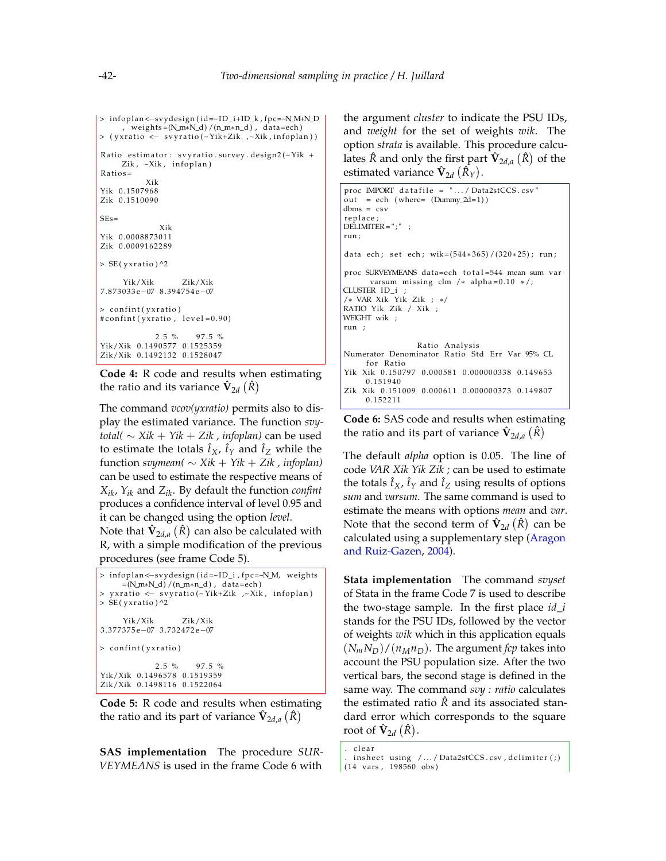```
> infoplan <--svydesign (id=~ID_i+ID_k, fpc=~N_M+N_D
     , weigh ts = (N_m∗N_d ) / (n_m∗n_d ) , da ta=ech )
> (yxratio <- svyratio (~Yik+Zik ,~Xik, infoplan))
Ratio estimator: svyratio.survey.design2(\simYik +
    Zik, \simXik, infoplan)
Rations =Xik
Yik 0.1507968
Zik 0.1510090
SEs=Xik
Yik 0.0008873011
Zik 0.0009162289
> SE(yxratio)<sup>^2</sup>
     Yik/Xik Zik/Xik
7. 8 7 3 0 3 3 e−07 8. 3 9 4 7 5 4 e−07
> confint (yxratio)
\#confint (yxratio, level = 0.90)
             2.5 \% 97.5 %
Yik/Xik 0.1490577 0.1525359
Zik/Xik 0.1492132 0.1528047
```
**Code 4:** R code and results when estimating the ratio and its variance  $\hat{\mathbf{V}}_{2d} \left( \hat{R} \right)$ 

The command *vcov(yxratio)* permits also to display the estimated variance. The function *svytotal*(  $\sim$  *Xik* + *Yik* + *Zik* , *infoplan*) can be used to estimate the totals  $\hat{t}_X$ ,  $\hat{t}_Y$  and  $\hat{t}_Z$  while the function *svymean(* ∼ *Xik* + *Yik* + *Zik , infoplan)* can be used to estimate the respective means of *Xik*, *Yik* and *Zik*. By default the function *confint* produces a confidence interval of level 0.95 and it can be changed using the option *level*.

Note that  $\hat{\mathbf{V}}_{2d,a}\left(\hat{R}\right)$  can also be calculated with R, with a simple modification of the previous procedures (see frame Code [5\)](#page-6-0).

```
> infoplan <- svydesign (id=~ID_i, fpc=~N_M, weights
     =(N_m*N_d) / (n_m*n_d), data=ech)
> yxratio <- svyratio (~ Yik+Zik ,~ Xik, infoplan)
> SE(yxratio)<sup>^2</sup>
     Yik/Xik Zik/Xik
3. 3 7 7 3 7 5 e−07 3. 7 3 2 4 7 2 e−07
> confint (yxratio)
             2.5 \% 97.5 %
Yik/Xik 0.1496578 0.1519359
Zik/Xik 0.1498116 0.1522064
```
**Code 5:** R code and results when estimating the ratio and its part of variance  $\hat{\mathbf{V}}_{2d,a}(\hat{R})$ 

**SAS implementation** The procedure *SUR-VEYMEANS* is used in the frame Code [6](#page-6-1) with the argument *cluster* to indicate the PSU IDs, and *weight* for the set of weights *wik*. The option *strata* is available. This procedure calculates  $\hat{R}$  and only the first part  $\hat{\mathbf{V}}_{2d,a}\left(\hat{R}\right)$  of the estimated variance  $\mathbf{\hat{V}}_{2d} \left( \hat{R}_{Y} \right)$ .

```
proc IMPORT datafile = ".../ Data2stCCS.csv"out = ech (where= (Dummy_2d=1))
dbms = csv
replace;
DELIMITER = ";";
run ;
data ech; set ech; wik=(544*365)/(320*25); run;
proc SURVEYMEANS data=ech total=544 mean sum var
      varsum missing clm /* alpha=0.10 */;
CLUSTER ID_i ;
/∗ VAR Xik Yik Zik ; ∗/
RATIO Yik Zik / Xik ;
WEIGHT wik ;
run ;
                 Ratio Analysis
Numerator Denominator Ratio Std Err Var 95% CL
     for Ratio
Yik Xik 0.150797 0.000581 0.000000338 0.149653
     0. 1 5 1 9 4 0
Zik Xik 0.151009 0.000611 0.000000373 0.149807
     0. 1 5 2 2 1 1
```
**Code 6:** SAS code and results when estimating the ratio and its part of variance  $\hat{\mathbf{V}}_{2d,a}\left(\hat{R}\right)$ 

The default *alpha* option is 0.05. The line of code *VAR Xik Yik Zik ;* can be used to estimate the totals  $\hat{t}_X$ ,  $\hat{t}_Y$  and  $\hat{t}_Z$  using results of options *sum* and *varsum*. The same command is used to estimate the means with options *mean* and *var*. Note that the second term of  $\hat{\mathbf{V}}_{2d}\left(\hat{R}\right)$  can be calculated using a supplementary step [\(Aragon](#page-11-14) [and Ruiz-Gazen,](#page-11-14) [2004\)](#page-11-14).

**Stata implementation** The command *svyset* of Stata in the frame Code [7](#page-6-2) is used to describe the two-stage sample. In the first place *id*\_*i* stands for the PSU IDs, followed by the vector of weights *wik* which in this application equals  $(N_mN_D)/(n_Mn_D)$ . The argument *fcp* takes into account the PSU population size. After the two vertical bars, the second stage is defined in the same way. The command *svy : ratio* calculates the estimated ratio  $\hat{R}$  and its associated standard error which corresponds to the square root of  $\mathbf{\hat{V}}_{2d}(\hat{R})$ .

<span id="page-6-2"></span>. clear

in sheet using  $/$  ... / Data2stCCS . csv, delimiter  $(j)$ (14 vars, 198560 obs)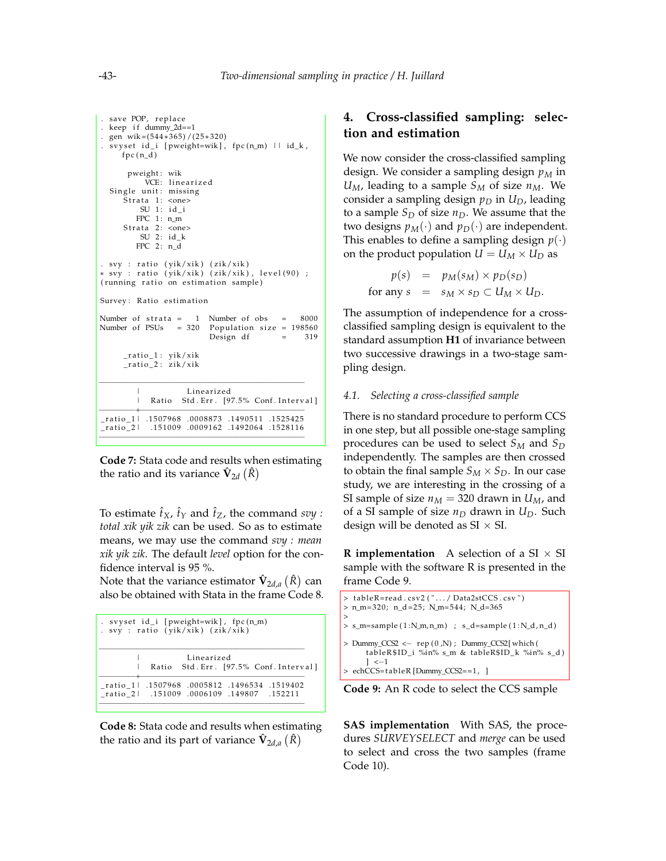```
. save POP, replace
. keep if dummy_2d==1
. gen wik = (544*365)/(25*320). svyset id_i [pweight=wik], fpc (n_m) \Box id_k,
     fpc(n_d)pweight : wik
           VCE: linearized
  Single unit: missing
     \bar{S}trata 1: <one>
         SU 1: id_iFPC 1: n mStrata 2: <one>
         SU 2: id_kFPC 2: n_d
. svy : ratio (yik/xik) (zik/xik)
∗ svy : r a t i o ( yik/ xik ) ( zi k/ xik ) , l e v e l ( 9 0 ) ;
(running ratio on estimation sample)
Survey: Ratio estimation
Number of strata = 1 Number of obs = 8000Number of PSUs = 320 Population size = 198560Design df = 319\_ratio\_1: yik/xik
     _ratio_2: zik/xik
−−−−−−−−−−−−−−−−−−−−−−−−−−−−−−−−−−−−−−−−−−−−−
        | Line a ri zed
         | Ratio Std. Err. [97.5% Conf. Interval]
−−−−−−−−+−−−−−−−−−−−−−−−−−−−−−−−−−−−−−−−−−−−−
_ r a ti o _ 1 | . 1 5 0 7 9 6 8 . 0 0 0 8 8 7 3 . 1 4 9 0 5 1 1 . 1 5 2 5 4 2 5
_ r a ti o _ 2 | . 1 5 1 0 0 9 . 0 0 0 9 1 6 2 . 1 4 9 2 0 6 4 . 1 5 2 8 1 1 6
−−−−−−−−−−−−−−−−−−−−−−−−−−−−−−−−−−−−−−−−−−−−−
```
**Code 7:** Stata code and results when estimating the ratio and its variance  $\hat{\mathbf{V}}_{2d} \left( \hat{R} \right)$ 

To estimate  $\hat{t}_X$ ,  $\hat{t}_Y$  and  $\hat{t}_Z$ , the command *svy*: *total xik yik zik* can be used. So as to estimate means, we may use the command *svy : mean xik yik zik*. The default *level* option for the confidence interval is 95 %.

Note that the variance estimator  $\hat{\mathbf{V}}_{2d,a}\left(\hat{R}\right)$  can also be obtained with Stata in the frame Code [8.](#page-7-1)

<span id="page-7-1"></span>

| . svyset id_i [pweight=wik], fpc(n_m)<br>. svy : ratio (yik/xik) (zik/xik)              |
|-----------------------------------------------------------------------------------------|
| Linearized<br>Ratio Std. Err. [97.5% Conf. Interval]                                    |
| 1519402. 1496534. 0005812. ratio_1 . 1507968.<br>152211. 149807. 149807. 151009. 151009 |

<span id="page-7-0"></span>**Code 8:** Stata code and results when estimating the ratio and its part of variance  $\hat{\mathbf{V}}_{2d,a}(\hat{R})$ 

# **4. Cross-classified sampling: selection and estimation**

We now consider the cross-classified sampling design. We consider a sampling design *p<sup>M</sup>* in  $U_M$ , leading to a sample  $S_M$  of size  $n_M$ . We consider a sampling design  $p_D$  in  $U_D$ , leading to a sample  $S_D$  of size  $n_D$ . We assume that the two designs  $p_M(\cdot)$  and  $p_D(\cdot)$  are independent. This enables to define a sampling design  $p(\cdot)$ on the product population  $U = U_M \times U_D$  as

$$
p(s) = p_M(s_M) \times p_D(s_D)
$$
  
for any  $s = s_M \times s_D \subset U_M \times U_D$ .

The assumption of independence for a crossclassified sampling design is equivalent to the standard assumption **H1** of invariance between two successive drawings in a two-stage sampling design.

#### *4.1. Selecting a cross-classified sample*

There is no standard procedure to perform CCS in one step, but all possible one-stage sampling procedures can be used to select *S<sup>M</sup>* and *S<sup>D</sup>* independently. The samples are then crossed to obtain the final sample  $S_M \times S_D$ . In our case study, we are interesting in the crossing of a SI sample of size  $n_M = 320$  drawn in  $U_M$ , and of a SI sample of size *n<sup>D</sup>* drawn in *UD*. Such design will be denoted as  $SI \times SI$ .

**R** implementation A selection of a SI  $\times$  SI sample with the software R is presented in the frame Code [9.](#page-7-2)

```
> tableR=read.csv2(".../Data2stCCS.csv")
> n_m= 3 2 0; n_d = 2 5; N_m= 5 4 4; N_d=365
>
> s_m=sample (1:N_m,n_m) ; s_d=sample (1:N_d,n_d)
> Dummy_CCS2 <− rep ( 0 ,N) ; Dummy_CCS2[ which (
     tableR$ID_i %in% s_m & tableR$ID_k %in% s_d)
     ] <−1
> echCCS= t a bleR [Dummy_CCS2==1 , ]
```
**Code 9:** An R code to select the CCS sample

**SAS implementation** With SAS, the procedures *SURVEYSELECT* and *merge* can be used to select and cross the two samples (frame Code [10\)](#page-8-0).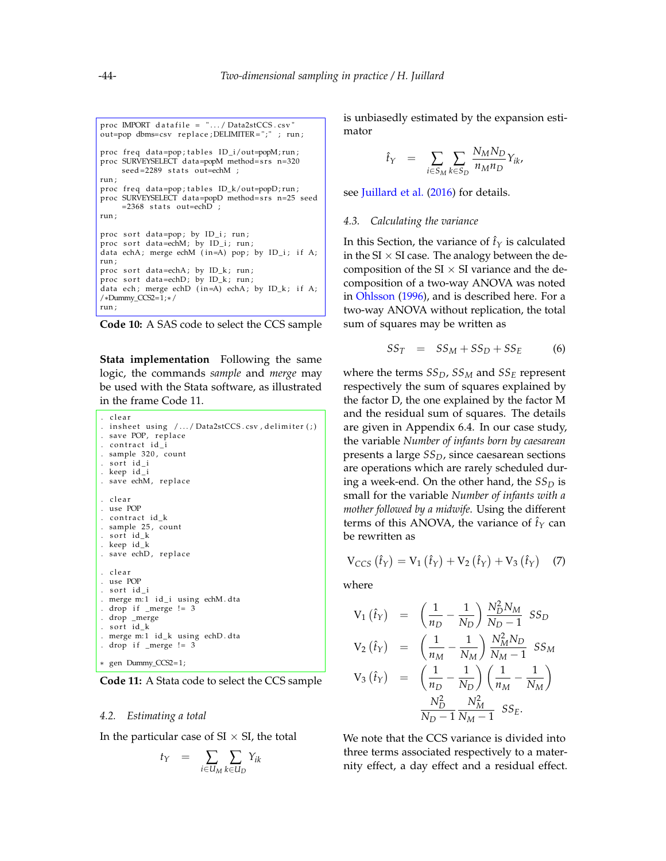```
proc IMPORT datafile = ". . . / Data2stCCS.csv"out=pop dbms=csv replace; DELIMITER = ";" ; run;
proc freq data=pop;tables ID_i/out=popM;run;
proc SURVEYSELECT data=popM method=srs n=320
    seed=2289 stats out=echM ;
run ;
proc freq data=pop; tables ID_k/out=popD; run;
proc SURVEYSELECT data=popD method=srs n=25 seed
    =2368 stats out=echD ;
run ;
proc sort data=pop; by ID_i; run;
proc sort data=echM; by ID_i; run;
data echA; merge echM (in=A) pop; by ID_i; if A;
run ;
proc sort data=echA; by ID_k; run;
proc sort data=echD; by ID_k; run;
data ech; merge echD (in=A) echA; by ID_k; if A;
/∗Dummy_CCS2=1;∗/
run ;
```


**Stata implementation** Following the same logic, the commands *sample* and *merge* may be used with the Stata software, as illustrated in the frame Code [11.](#page-8-1)

```
. c l e a r
. in sheet using /.../Data2stCCS.csv, delimiter(;)
. save POP, replace
. contract id_i. sample 320, count
. sort id_i. keep id_i
. save echM, replace
. clear
. use POP
. contract id k
. sample 25, count
. sort id_k. keep id_k
. save echD, replace
. clear
. use POP
. sort id_i
. merge m:1 id_i using echM.dta
. drop if _mere != 3
. drop _merge
. sort id_k
. merge m:1 id_k using echD.dta
. drop if _merge != 3
∗ gen Dummy_CCS2= 1;
```
**Code 11:** A Stata code to select the CCS sample

### *4.2. Estimating a total*

In the particular case of  $SI \times SI$ , the total

$$
t_Y = \sum_{i \in U_M} \sum_{k \in U_D} Y_{ik}
$$

is unbiasedly estimated by the expansion estimator

$$
\hat{t}_Y = \sum_{i \in S_M} \sum_{k \in S_D} \frac{N_M N_D}{n_M n_D} Y_{ik},
$$

see [Juillard et al.](#page-11-6) [\(2016\)](#page-11-6) for details.

#### *4.3. Calculating the variance*

In this Section, the variance of  $\hat{t}_Y$  is calculated in the  $SI \times SI$  case. The analogy between the decomposition of the SI  $\times$  SI variance and the decomposition of a two-way ANOVA was noted in [Ohlsson](#page-11-2) [\(1996\)](#page-11-2), and is described here. For a two-way ANOVA without replication, the total sum of squares may be written as

$$
SS_T = SS_M + SS_D + SS_E \qquad (6)
$$

where the terms *SSD*, *SS<sup>M</sup>* and *SS<sup>E</sup>* represent respectively the sum of squares explained by the factor D, the one explained by the factor M and the residual sum of squares. The details are given in Appendix [6.4.](#page-13-0) In our case study, the variable *Number of infants born by caesarean* presents a large *SSD*, since caesarean sections are operations which are rarely scheduled during a week-end. On the other hand, the  $SS<sub>D</sub>$  is small for the variable *Number of infants with a mother followed by a midwife*. Using the different terms of this ANOVA, the variance of  $f<sub>Y</sub>$  can be rewritten as

<span id="page-8-2"></span>
$$
V_{CCS} (\hat{t}_Y) = V_1 (\hat{t}_Y) + V_2 (\hat{t}_Y) + V_3 (\hat{t}_Y)
$$
 (7)

where

$$
V_{1} (\hat{t}_{Y}) = \left(\frac{1}{n_{D}} - \frac{1}{N_{D}}\right) \frac{N_{D}^{2} N_{M}}{N_{D} - 1} SS_{D}
$$
  
\n
$$
V_{2} (\hat{t}_{Y}) = \left(\frac{1}{n_{M}} - \frac{1}{N_{M}}\right) \frac{N_{M}^{2} N_{D}}{N_{M} - 1} SS_{M}
$$
  
\n
$$
V_{3} (\hat{t}_{Y}) = \left(\frac{1}{n_{D}} - \frac{1}{N_{D}}\right) \left(\frac{1}{n_{M}} - \frac{1}{N_{M}}\right)
$$
  
\n
$$
\frac{N_{D}^{2}}{N_{D} - 1} \frac{N_{M}^{2}}{N_{M} - 1} SS_{E}.
$$

We note that the CCS variance is divided into three terms associated respectively to a maternity effect, a day effect and a residual effect.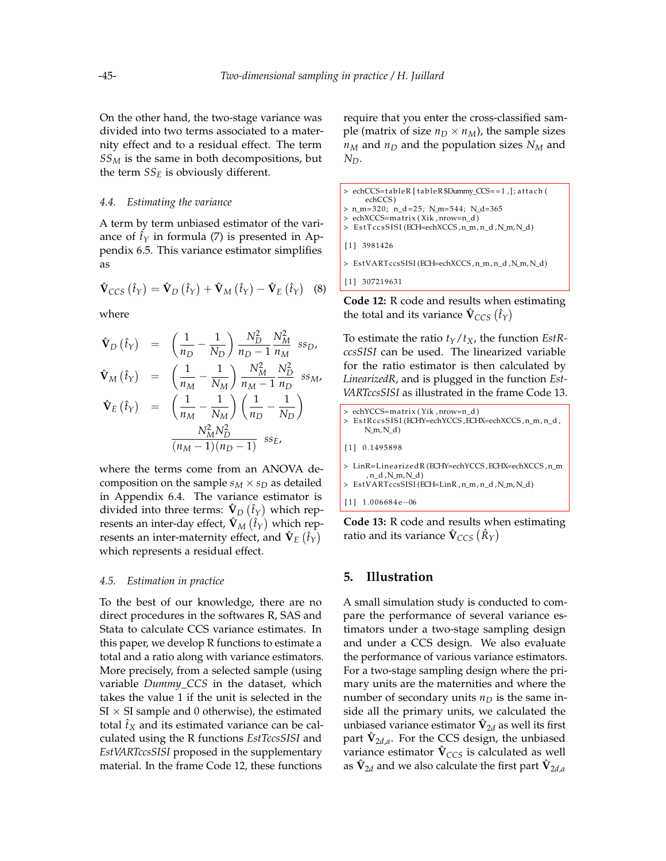On the other hand, the two-stage variance was divided into two terms associated to a maternity effect and to a residual effect. The term *SS<sup>M</sup>* is the same in both decompositions, but the term  $SS_E$  is obviously different.

#### *4.4. Estimating the variance*

A term by term unbiased estimator of the variance of  $\hat{t}_Y$  in formula [\(7\)](#page-8-2) is presented in Appendix [6.5.](#page-13-1) This variance estimator simplifies as

<span id="page-9-3"></span>
$$
\hat{\mathbf{V}}_{CCS} (\hat{t}_Y) = \hat{\mathbf{V}}_D (\hat{t}_Y) + \hat{\mathbf{V}}_M (\hat{t}_Y) - \hat{\mathbf{V}}_E (\hat{t}_Y)
$$
 (8)

where

$$
\hat{\mathbf{V}}_D (\hat{t}_Y) = \left(\frac{1}{n_D} - \frac{1}{N_D}\right) \frac{N_D^2}{n_D - 1} \frac{N_M^2}{n_M} \text{ ss}_D,
$$
\n
$$
\hat{\mathbf{V}}_M (\hat{t}_Y) = \left(\frac{1}{n_M} - \frac{1}{N_M}\right) \frac{N_M^2}{n_M - 1} \frac{N_D^2}{n_D} \text{ ss}_M,
$$
\n
$$
\hat{\mathbf{V}}_E (\hat{t}_Y) = \left(\frac{1}{n_M} - \frac{1}{N_M}\right) \left(\frac{1}{n_D} - \frac{1}{N_D}\right)
$$

$$
\frac{N_M^2 N_D^2}{(n_M - 1)(n_D - 1)} \; \; ss_E,
$$

where the terms come from an ANOVA decomposition on the sample  $s_M \times s_D$  as detailed in Appendix [6.4.](#page-13-0) The variance estimator is divided into three terms:  $\hat{\mathbf{V}}_D \left( \hat{t}_Y \right)$  which represents an inter-day effect,  $\mathbf{\hat{V}}_{M}\left(\hat{t}_{Y}\right)$  which represents an inter-maternity effect, and  $\mathbf{\hat{V}}_E\left(\hat{t}_Y\right)$ which represents a residual effect.

#### *4.5. Estimation in practice*

To the best of our knowledge, there are no direct procedures in the softwares R, SAS and Stata to calculate CCS variance estimates. In this paper, we develop R functions to estimate a total and a ratio along with variance estimators. More precisely, from a selected sample (using variable *Dummy\_CCS* in the dataset, which takes the value 1 if the unit is selected in the  $SI \times SI$  sample and 0 otherwise), the estimated total  $\hat{t}_X$  and its estimated variance can be calculated using the R functions *EstTccsSISI* and *EstVARTccsSISI* proposed in the supplementary material. In the frame Code [12,](#page-9-1) these functions

require that you enter the cross-classified sample (matrix of size  $n_D \times n_M$ ), the sample sizes  $n_M$  and  $n_D$  and the population sizes  $N_M$  and *ND*.

```
> echCCS=tableR [tableR$Dummy_CCS==1,]; attach (
     echCCS )
> n_m= 3 2 0; n_d = 2 5; N_m= 5 4 4; N_d=365
> echXCCS=ma t rix ( Xik , nrow=n_d )
> EstTccsSISI (ECH=echXCCS, n_m, n_d, N_m, N_d)
[ 1 ] 3981426
> EstVARTccsSISI (ECH=echXCCS , n_m, n_d ,N_m, N_d )
[ 1 ] 307219631
```
**Code 12:** R code and results when estimating the total and its variance  $\hat{\mathbf{V}}_{CCS} \left( \hat{t}_Y \right)$ 

To estimate the ratio  $t_Y/t_X$ , the function *EstRccsSISI* can be used. The linearized variable for the ratio estimator is then calculated by *LinearizedR*, and is plugged in the function *Est-VARTccsSISI* as illustrated in the frame Code [13.](#page-9-2)

```
> echYCCS=matrix (Yik, nrow=n_d)
> EstRccsSISI(ECHY=echYCCS,ECHX=echXCCS,n_m,n_d,
     N_m, N_d)
[1] 0.1495898
> LinR=Linea rizedR (ECHY=echYCCS ,ECHX=echXCCS , n_m
     , n_d ,N_m, N_d )
> EstVARTccsSISI (ECH=LinR , n_m, n_d ,N_m, N_d )
```
[1] 1.006684e-06

**Code 13:** R code and results when estimating ratio and its variance  $\mathbf{\hat{V}}_{CCS}\left(\mathbf{\hat{R}}_{Y}\right)$ 

# <span id="page-9-0"></span>**5. Illustration**

A small simulation study is conducted to compare the performance of several variance estimators under a two-stage sampling design and under a CCS design. We also evaluate the performance of various variance estimators. For a two-stage sampling design where the primary units are the maternities and where the number of secondary units  $n_D$  is the same inside all the primary units, we calculated the unbiased variance estimator  $\hat{\mathbf{V}}_{2d}$  as well its first part  $\hat{\mathbf{V}}_{2d,a}$ . For the CCS design, the unbiased variance estimator  $\hat{\mathbf{V}}_{CCS}$  is calculated as well as  $\hat{\mathbf{V}}_{2d}$  and we also calculate the first part  $\hat{\mathbf{V}}_{2d,a}$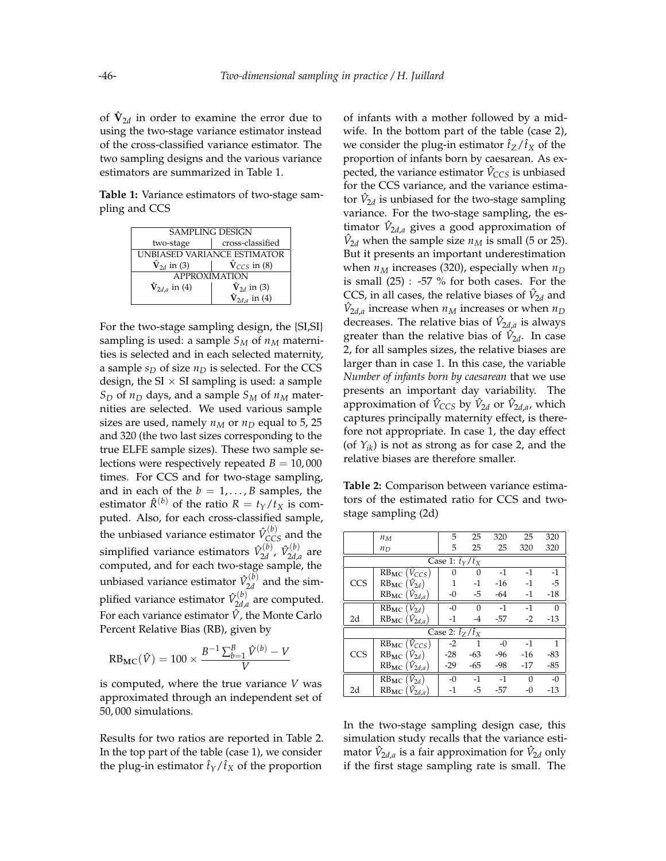of  $\hat{\mathbf{V}}_{2d}$  in order to examine the error due to using the two-stage variance estimator instead of the cross-classified variance estimator. The two sampling designs and the various variance estimators are summarized in Table [1.](#page-10-0)

<span id="page-10-0"></span>**Table 1:** Variance estimators of two-stage sampling and CCS

| <b>SAMPLING DESIGN</b>           |                                 |  |  |  |  |  |
|----------------------------------|---------------------------------|--|--|--|--|--|
| two-stage                        | cross-classified                |  |  |  |  |  |
| UNBIASED VARIANCE ESTIMATOR      |                                 |  |  |  |  |  |
| $\hat{\mathbf{V}}_{2d}$ in (3)   | $\hat{\mathbf{V}}_{CCS}$ in (8) |  |  |  |  |  |
| <b>APPROXIMATION</b>             |                                 |  |  |  |  |  |
| $\dot{\mathbf{V}}_{2d,a}$ in (4) | $\hat{\mathbf{V}}_{2d}$ in (3)  |  |  |  |  |  |
|                                  | $\hat{V}_{2d,a}$ in (4)         |  |  |  |  |  |

For the two-stage sampling design, the {SI,SI} sampling is used: a sample  $S_M$  of  $n_M$  maternities is selected and in each selected maternity, a sample  $s_D$  of size  $n_D$  is selected. For the CCS design, the  $SI \times SI$  sampling is used: a sample *S*<sup>*D*</sup> of *n*<sup>*D*</sup> days, and a sample *S*<sup>*M*</sup> of *n*<sup>*M*</sup> maternities are selected. We used various sample sizes are used, namely  $n_M$  or  $n_D$  equal to 5, 25 and 320 (the two last sizes corresponding to the true ELFE sample sizes). These two sample selections were respectively repeated  $B = 10,000$ times. For CCS and for two-stage sampling, and in each of the  $b = 1, \ldots, B$  samples, the estimator  $\hat{R}^{(b)}$  of the ratio  $R = t_Y/t_X$  is computed. Also, for each cross-classified sample, the unbiased variance estimator  $\hat{V}_{CCS}^{(b)}$  and the simplified variance estimators  $\hat{V}_{2d}^{(b)}$ 2*d* , *V*ˆ (*b*)  $\sum_{2d,a}^{(\nu)}$  are computed, and for each two-stage sample, the unbiased variance estimator  $\hat{V}_{2d}^{(b)}$  $\chi_{2d}^{(0)}$  and the simplified variance estimator  $\hat{V}_{2d}^{(b)}$  $\chi_{2d,a}^{(0)}$  are computed. For each variance estimator  $\hat{V}$ , the Monte Carlo Percent Relative Bias (RB), given by

$$
RB_{MC}(\hat{V}) = 100 \times \frac{B^{-1} \sum_{b=1}^{B} \hat{V}^{(b)} - V}{V}
$$

is computed, where the true variance *V* was approximated through an independent set of 50, 000 simulations.

Results for two ratios are reported in Table [2.](#page-10-1) In the top part of the table (case 1), we consider the plug-in estimator  $\hat{t}_Y/\hat{t}_X$  of the proportion

of infants with a mother followed by a midwife. In the bottom part of the table (case 2), we consider the plug-in estimator  $\hat{t}_Z/\hat{t}_X$  of the proportion of infants born by caesarean. As expected, the variance estimator  $\hat{V}_{CCS}$  is unbiased for the CCS variance, and the variance estimator  $\hat{V}_{2d}$  is unbiased for the two-stage sampling variance. For the two-stage sampling, the estimator  $\hat{V}_{2d,a}$  gives a good approximation of  $\hat{V}_{2d}$  when the sample size  $n_M$  is small (5 or 25). But it presents an important underestimation when  $n_M$  increases (320), especially when  $n_D$ is small (25) : -57 % for both cases. For the CCS, in all cases, the relative biases of  $\hat{V}_{2d}$  and  $\hat{V}_{2d,a}$  increase when  $n_M$  increases or when  $n_D$ decreases. The relative bias of  $\hat{V}_{2d,a}$  is always greater than the relative bias of  $\hat{V}_{2d}$ . In case 2, for all samples sizes, the relative biases are larger than in case 1. In this case, the variable *Number of infants born by caesarean* that we use presents an important day variability. The approximation of  $\hat{V}_{CCS}$  by  $\hat{V}_{2d}$  or  $\hat{V}_{2d,a}$ , which captures principally maternity effect, is therefore not appropriate. In case 1, the day effect (of *Yik*) is not as strong as for case 2, and the relative biases are therefore smaller.

<span id="page-10-1"></span>**Table 2:** Comparison between variance estimators of the estimated ratio for CCS and twostage sampling (2d)

|                               | $n_M$                                                  | 5.    | 25       | 320   | 25       | 320          |  |  |
|-------------------------------|--------------------------------------------------------|-------|----------|-------|----------|--------------|--|--|
|                               | $n_D$                                                  | 5     | 25       | 25    | 320      | 320          |  |  |
| Case 1: $\hat{t}_Y/\hat{t}_X$ |                                                        |       |          |       |          |              |  |  |
|                               | $\overline{\text{RB}}_{\text{MC}}$ ( $\hat{V}_{CCS}$ ) | 0     | 0        | $-1$  | $-1$     | $-1$         |  |  |
| CCS                           | $RB_{MC}$ $(\hat{V}_{2d})$                             | 1     | $-1$     | $-16$ | $-1$     | $-5$         |  |  |
|                               | $RB_{MC}(\hat{V}_{2d,a})$                              | $-0$  | $-5$     | $-64$ | $-1$     | $-18$        |  |  |
|                               | $\overline{\text{RB}_{\text{MC}}}$ $(\hat{V}_{2d})$    | $-0$  | $\Omega$ | $-1$  | $-1$     | 0            |  |  |
| 2d                            | $RB_{MC}$ $(\hat{V}_{2d,a})$                           | $-1$  | $-4$     | $-57$ | $-2$     | $-13$        |  |  |
| Case 2: $\hat{t}_7/\hat{t}_x$ |                                                        |       |          |       |          |              |  |  |
|                               | $RB_{MC}$ ( $V_{CCS}$ )                                | $-2$  | 1        | $-0$  | $-1$     | $\mathbf{1}$ |  |  |
| CCS                           | $RB_{MC}(\hat{V}_{2d})$                                | -28   | $-63$    | -96   | $-16$    | -83          |  |  |
|                               | $RB_{MC}(\hat{V}_{2d,a})$                              | $-29$ | $-65$    | $-98$ | $-17$    | -85          |  |  |
|                               | $RB_{MC}(\hat{V}_{2d})$                                | $-0$  | $-1$     | $-1$  | $\Omega$ | $-0$         |  |  |
| 2d                            | $RB_{MC}$ $(\hat{V}_{2d,a})$                           | $-1$  | -5       | -57   | $-0$     | $-13$        |  |  |

In the two-stage sampling design case, this simulation study recalls that the variance estimator  $\hat{V}_{2d,a}$  is a fair approximation for  $\hat{V}_{2d}$  only if the first stage sampling rate is small. The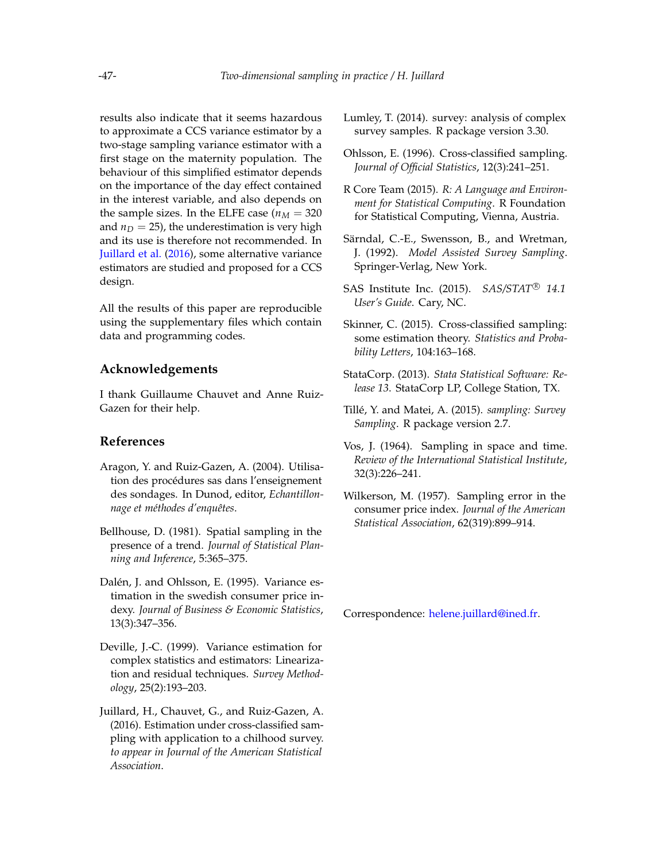results also indicate that it seems hazardous to approximate a CCS variance estimator by a two-stage sampling variance estimator with a first stage on the maternity population. The behaviour of this simplified estimator depends on the importance of the day effect contained in the interest variable, and also depends on the sample sizes. In the ELFE case ( $n<sub>M</sub> = 320$ ) and  $n_D = 25$ ), the underestimation is very high and its use is therefore not recommended. In [Juillard et al.](#page-11-6) [\(2016\)](#page-11-6), some alternative variance estimators are studied and proposed for a CCS design.

All the results of this paper are reproducible using the supplementary files which contain data and programming codes.

# **Acknowledgements**

I thank Guillaume Chauvet and Anne Ruiz-Gazen for their help.

# **References**

- <span id="page-11-14"></span>Aragon, Y. and Ruiz-Gazen, A. (2004). Utilisation des procédures sas dans l'enseignement des sondages. In Dunod, editor, *Echantillonnage et méthodes d'enquêtes*.
- <span id="page-11-1"></span>Bellhouse, D. (1981). Spatial sampling in the presence of a trend. *Journal of Statistical Planning and Inference*, 5:365–375.
- <span id="page-11-3"></span>Dalén, J. and Ohlsson, E. (1995). Variance estimation in the swedish consumer price indexy. *Journal of Business & Economic Statistics*, 13(3):347–356.
- <span id="page-11-12"></span>Deville, J.-C. (1999). Variance estimation for complex statistics and estimators: Linearization and residual techniques. *Survey Methodology*, 25(2):193–203.
- <span id="page-11-6"></span>Juillard, H., Chauvet, G., and Ruiz-Gazen, A. (2016). Estimation under cross-classified sampling with application to a chilhood survey. *to appear in Journal of the American Statistical Association*.
- <span id="page-11-13"></span>Lumley, T. (2014). survey: analysis of complex survey samples. R package version 3.30.
- <span id="page-11-2"></span>Ohlsson, E. (1996). Cross-classified sampling. *Journal of Official Statistics*, 12(3):241–251.
- <span id="page-11-8"></span>R Core Team (2015). *R: A Language and Environment for Statistical Computing*. R Foundation for Statistical Computing, Vienna, Austria.
- <span id="page-11-4"></span>Särndal, C.-E., Swensson, B., and Wretman, J. (1992). *Model Assisted Survey Sampling*. Springer-Verlag, New York.
- <span id="page-11-9"></span>SAS Institute Inc. (2015). *SAS/STAT* <sup>R</sup> *14.1 User's Guide*. Cary, NC.
- <span id="page-11-5"></span>Skinner, C. (2015). Cross-classified sampling: some estimation theory. *Statistics and Probability Letters*, 104:163–168.
- <span id="page-11-10"></span>StataCorp. (2013). *Stata Statistical Software: Release 13*. StataCorp LP, College Station, TX.
- <span id="page-11-11"></span>Tillé, Y. and Matei, A. (2015). *sampling: Survey Sampling*. R package version 2.7.
- <span id="page-11-0"></span>Vos, J. (1964). Sampling in space and time. *Review of the International Statistical Institute*, 32(3):226–241.
- <span id="page-11-7"></span>Wilkerson, M. (1957). Sampling error in the consumer price index. *Journal of the American Statistical Association*, 62(319):899–914.

Correspondence: [helene.juillard@ined.fr.](mailto:helene.juillard@ined.fr)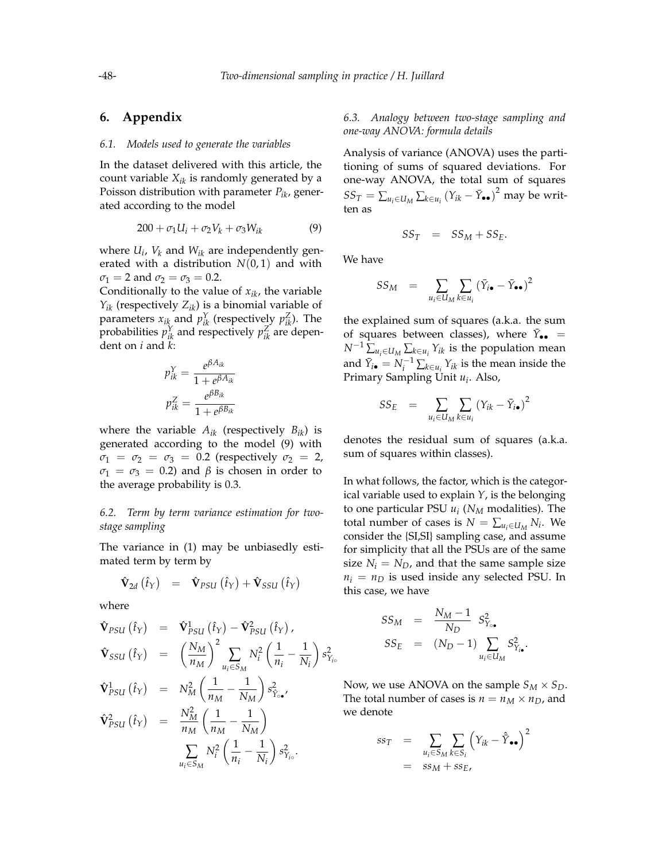# **6. Appendix**

#### <span id="page-12-0"></span>*6.1. Models used to generate the variables*

In the dataset delivered with this article, the count variable *Xik* is randomly generated by a Poisson distribution with parameter *Pik*, generated according to the model

<span id="page-12-3"></span>
$$
200 + \sigma_1 U_i + \sigma_2 V_k + \sigma_3 W_{ik} \tag{9}
$$

where *U<sup>i</sup>* , *V<sup>k</sup>* and *Wik* are independently generated with a distribution  $N(0, 1)$  and with  $\sigma_1 = 2$  and  $\sigma_2 = \sigma_3 = 0.2$ .

Conditionally to the value of *xik*, the variable  $Y_{ik}$  (respectively  $Z_{ik}$ ) is a binomial variable of parameters  $x_{ik}$  and  $p_{ik}^Y$  (respectively  $p_{ik}^Z$ ). The probabilities  $p_{ik}^Y$  and respectively  $p_{ik}^Z$  are dependent on *i* and *k*:

$$
p_{ik}^Y = \frac{e^{\beta A_{ik}}}{1 + e^{\beta A_{ik}}}
$$

$$
p_{ik}^Z = \frac{e^{\beta B_{ik}}}{1 + e^{\beta B_{ik}}}
$$

where the variable  $A_{ik}$  (respectively  $B_{ik}$ ) is generated according to the model [\(9\)](#page-12-3) with  $\sigma_1 = \sigma_2 = \sigma_3 = 0.2$  (respectively  $\sigma_2 = 2$ ,  $\sigma_1 = \sigma_3 = 0.2$ ) and  $\beta$  is chosen in order to the average probability is 0.3.

## <span id="page-12-2"></span>*6.2. Term by term variance estimation for twostage sampling*

The variance in [\(1\)](#page-4-0) may be unbiasedly estimated term by term by

$$
\mathbf{\hat{V}}_{2d} (\hat{t}_Y) = \mathbf{\hat{V}}_{PSU} (\hat{t}_Y) + \mathbf{\hat{V}}_{SSU} (\hat{t}_Y)
$$

where

<span id="page-12-1"></span>
$$
\hat{\mathbf{V}}_{PSU}(\hat{t}_{Y}) = \hat{\mathbf{V}}_{PSU}^{1}(\hat{t}_{Y}) - \hat{\mathbf{V}}_{PSU}^{2}(\hat{t}_{Y}),
$$
\n
$$
\hat{\mathbf{V}}_{SSU}(\hat{t}_{Y}) = \left(\frac{N_{M}}{n_{M}}\right)^{2} \sum_{u_{i} \in S_{M}} N_{i}^{2} \left(\frac{1}{n_{i}} - \frac{1}{N_{i}}\right) s_{Y_{io}}^{2}
$$
\n
$$
\hat{\mathbf{V}}_{PSU}^{1}(\hat{t}_{Y}) = N_{M}^{2} \left(\frac{1}{n_{M}} - \frac{1}{N_{M}}\right) s_{Y_{io}}^{2},
$$
\n
$$
\hat{\mathbf{V}}_{PSU}^{2}(\hat{t}_{Y}) = \frac{N_{M}^{2}}{n_{M}} \left(\frac{1}{n_{M}} - \frac{1}{N_{M}}\right)
$$
\n
$$
\sum_{u_{i} \in S_{M}} N_{i}^{2} \left(\frac{1}{n_{i}} - \frac{1}{N_{i}}\right) s_{Y_{io}}^{2}.
$$

# *6.3. Analogy between two-stage sampling and one-way ANOVA: formula details*

Analysis of variance (ANOVA) uses the partitioning of sums of squared deviations. For one-way ANOVA, the total sum of squares  $SS_T = \sum_{u_i \in U_M} \sum_{k \in u_i} (Y_{ik} - \bar{Y}_{\bullet \bullet})^2$  may be written as

$$
SS_T = SS_M + SS_E.
$$

We have

$$
SS_M = \sum_{u_i \in U_M} \sum_{k \in u_i} (\bar{Y}_{i\bullet} - \bar{Y}_{\bullet\bullet})^2
$$

the explained sum of squares (a.k.a. the sum of squares between classes), where  $\bar{Y}_{\bullet \bullet}$  =  $N^{-1}$   $\sum_{u_i \in U_M}$   $\sum_{k \in u_i} Y_{ik}$  is the population mean and  $\bar{Y}_{i\bullet} = N_i^{-1} \sum_{k \in u_i} Y_{ik}$  is the mean inside the Primary Sampling Unit *u<sup>i</sup>* . Also,

$$
SS_E = \sum_{u_i \in U_M} \sum_{k \in u_i} (Y_{ik} - \bar{Y}_{i\bullet})^2
$$

denotes the residual sum of squares (a.k.a. sum of squares within classes).

In what follows, the factor, which is the categorical variable used to explain *Y*, is the belonging to one particular PSU *u<sup>i</sup>* (*N<sup>M</sup>* modalities). The total number of cases is  $N = \sum_{u_i \in U_M} N_i$ . We consider the {SI,SI} sampling case, and assume for simplicity that all the PSUs are of the same size  $N_i = N_D$ , and that the same sample size  $n_i = n_D$  is used inside any selected PSU. In this case, we have

$$
SS_M = \frac{N_M - 1}{N_D} S_{Y_{\circ}}^2
$$
  

$$
SS_E = (N_D - 1) \sum_{u_i \in U_M} S_{Y_{\circ}}^2.
$$

Now, we use ANOVA on the sample  $S_M \times S_D$ . The total number of cases is  $n = n_M \times n_D$ , and we denote

$$
ss_T = \sum_{u_i \in S_M} \sum_{k \in S_i} \left( Y_{ik} - \hat{Y}_{\bullet \bullet} \right)^2
$$
  
=  $ss_M + ss_E$ ,